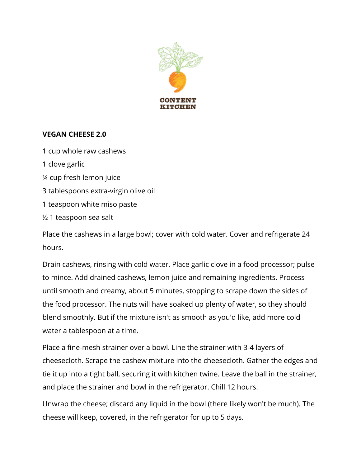

## **VEGAN CHEESE 2.0**

1 cup whole raw cashews 1 clove garlic ¼ cup fresh lemon juice 3 tablespoons extra-virgin olive oil 1 teaspoon white miso paste ½ 1 teaspoon sea salt

Place the cashews in a large bowl; cover with cold water. Cover and refrigerate 24 hours.

Drain cashews, rinsing with cold water. Place garlic clove in a food processor; pulse to mince. Add drained cashews, lemon juice and remaining ingredients. Process until smooth and creamy, about 5 minutes, stopping to scrape down the sides of the food processor. The nuts will have soaked up plenty of water, so they should blend smoothly. But if the mixture isn't as smooth as you'd like, add more cold water a tablespoon at a time.

Place a fine-mesh strainer over a bowl. Line the strainer with 3-4 layers of cheesecloth. Scrape the cashew mixture into the cheesecloth. Gather the edges and tie it up into a tight ball, securing it with kitchen twine. Leave the ball in the strainer, and place the strainer and bowl in the refrigerator. Chill 12 hours.

Unwrap the cheese; discard any liquid in the bowl (there likely won't be much). The cheese will keep, covered, in the refrigerator for up to 5 days.